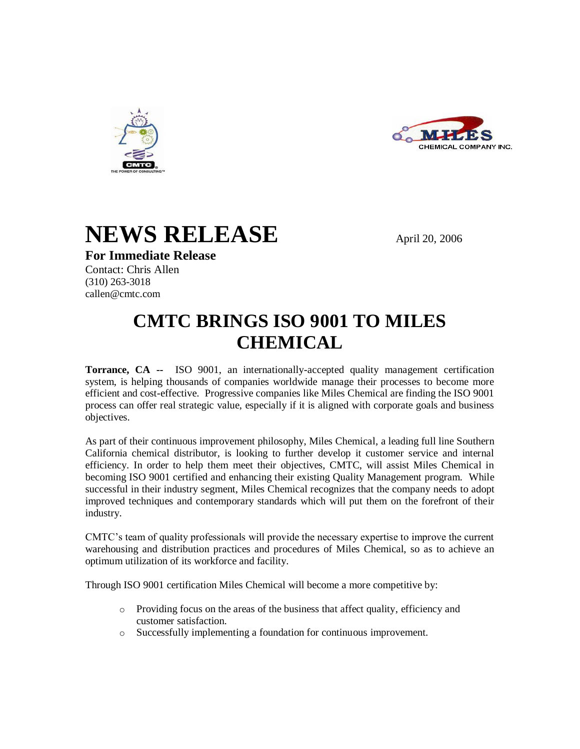





**For Immediate Release**

Contact: Chris Allen

(310) 263-3018 callen@cmtc.com

## **CMTC BRINGS ISO 9001 TO MILES CHEMICAL**

**Torrance, CA --** ISO 9001, an internationally-accepted quality management certification system, is helping thousands of companies worldwide manage their processes to become more efficient and cost-effective. Progressive companies like Miles Chemical are finding the ISO 9001 process can offer real strategic value, especially if it is aligned with corporate goals and business objectives.

As part of their continuous improvement philosophy, Miles Chemical, a leading full line Southern California chemical distributor, is looking to further develop it customer service and internal efficiency. In order to help them meet their objectives, CMTC, will assist Miles Chemical in becoming ISO 9001 certified and enhancing their existing Quality Management program. While successful in their industry segment, Miles Chemical recognizes that the company needs to adopt improved techniques and contemporary standards which will put them on the forefront of their industry.

CMTC's team of quality professionals will provide the necessary expertise to improve the current warehousing and distribution practices and procedures of Miles Chemical, so as to achieve an optimum utilization of its workforce and facility.

Through ISO 9001 certification Miles Chemical will become a more competitive by:

- o Providing focus on the areas of the business that affect quality, efficiency and customer satisfaction.
- o Successfully implementing a foundation for continuous improvement.